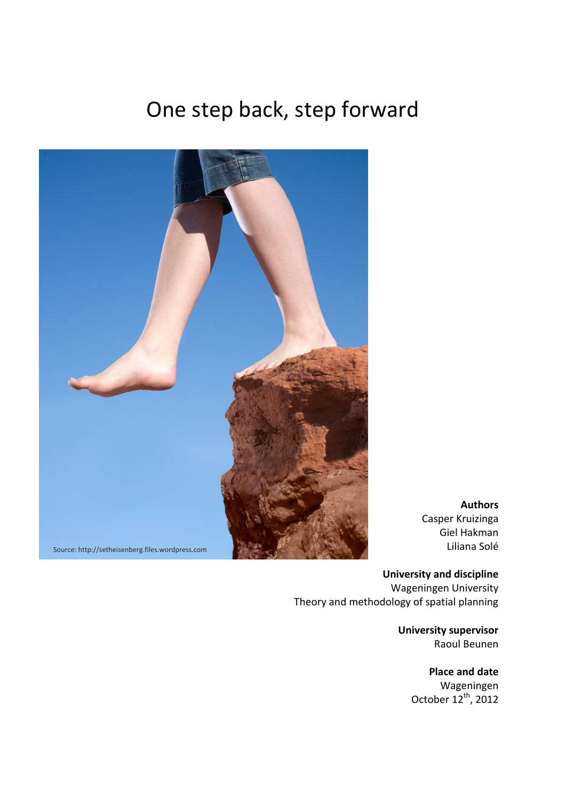# One step back, step forward



**Authors** Casper Kruizinga Giel Hakman Liliana Solé

**University and discipline** Wageningen University Theory and methodology of spatial planning

> **University supervisor** Raoul Beunen

> > **Place and date** Wageningen October  $12^{th}$ , 2012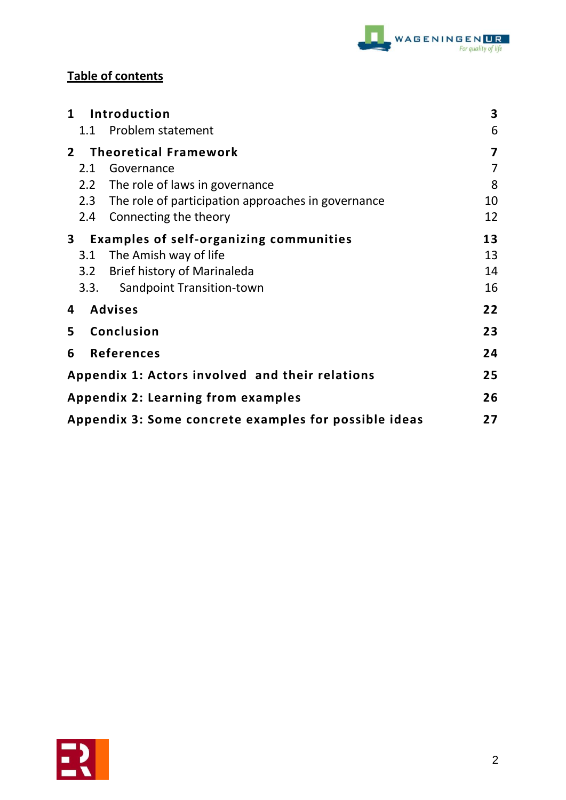

# **Table of contents**

| $\mathbf{1}$                                    | Introduction                                                |                                                        | 3  |
|-------------------------------------------------|-------------------------------------------------------------|--------------------------------------------------------|----|
|                                                 |                                                             | 1.1 Problem statement                                  | 6  |
| $2^{\circ}$                                     |                                                             | <b>Theoretical Framework</b>                           | 7  |
|                                                 | 2.1                                                         | Governance                                             | 7  |
|                                                 | 2.2                                                         | The role of laws in governance                         | 8  |
|                                                 |                                                             | 2.3 The role of participation approaches in governance | 10 |
|                                                 | 2.4                                                         | Connecting the theory                                  | 12 |
| $\mathbf{3}$                                    |                                                             | <b>Examples of self-organizing communities</b>         | 13 |
|                                                 | 3.1                                                         | The Amish way of life                                  | 13 |
|                                                 | 3.2                                                         | <b>Brief history of Marinaleda</b>                     | 14 |
|                                                 | 3.3.                                                        | Sandpoint Transition-town                              | 16 |
| <b>Advises</b><br>4                             |                                                             | 22                                                     |    |
| 5                                               |                                                             | Conclusion                                             | 23 |
| 6                                               |                                                             | <b>References</b>                                      | 24 |
| Appendix 1: Actors involved and their relations |                                                             |                                                        | 25 |
| <b>Appendix 2: Learning from examples</b>       |                                                             |                                                        | 26 |
|                                                 | Appendix 3: Some concrete examples for possible ideas<br>27 |                                                        |    |

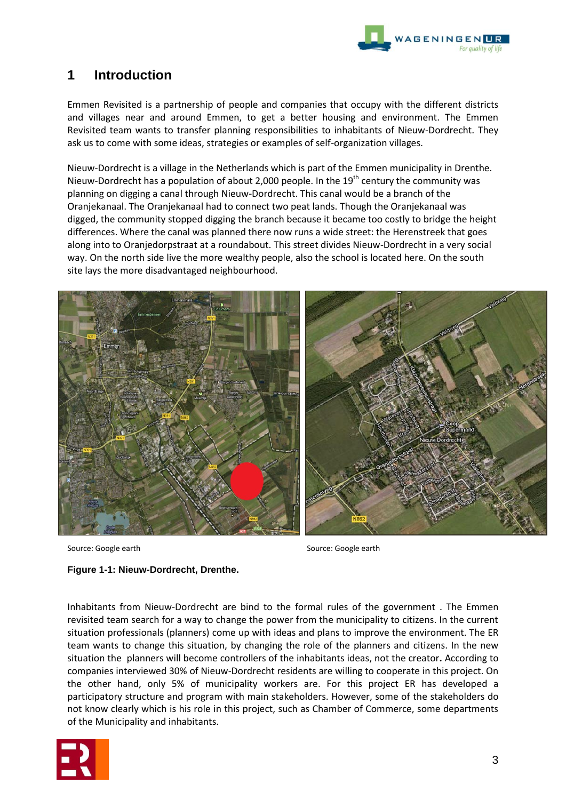

# **1 Introduction**

Emmen Revisited is a partnership of people and companies that occupy with the different districts and villages near and around Emmen, to get a better housing and environment. The Emmen Revisited team wants to transfer planning responsibilities to inhabitants of Nieuw-Dordrecht. They ask us to come with some ideas, strategies or examples of self-organization villages.

Nieuw-Dordrecht is a village in the Netherlands which is part of the Emmen municipality in Drenthe. Nieuw-Dordrecht has a population of about 2,000 people. In the  $19<sup>th</sup>$  century the community was planning on digging a canal through Nieuw-Dordrecht. This canal would be a branch of the Oranjekanaal. The Oranjekanaal had to connect two peat lands. Though the Oranjekanaal was digged, the community stopped digging the branch because it became too costly to bridge the height differences. Where the canal was planned there now runs a wide street: the Herenstreek that goes along into to Oranjedorpstraat at a roundabout. This street divides Nieuw-Dordrecht in a very social way. On the north side live the more wealthy people, also the school is located here. On the south site lays the more disadvantaged neighbourhood.



Source: Google earth Source: Google earth Source: Google earth

# **Figure 1-1: Nieuw-Dordrecht, Drenthe.**

Inhabitants from Nieuw-Dordrecht are bind to the formal rules of the government . The Emmen revisited team search for a way to change the power from the municipality to citizens. In the current situation professionals (planners) come up with ideas and plans to improve the environment. The ER team wants to change this situation, by changing the role of the planners and citizens. In the new situation the planners will become controllers of the inhabitants ideas, not the creator**.** According to companies interviewed 30% of Nieuw-Dordrecht residents are willing to cooperate in this project. On the other hand, only 5% of municipality workers are. For this project ER has developed a participatory structure and program with main stakeholders. However, some of the stakeholders do not know clearly which is his role in this project, such as Chamber of Commerce, some departments of the Municipality and inhabitants.

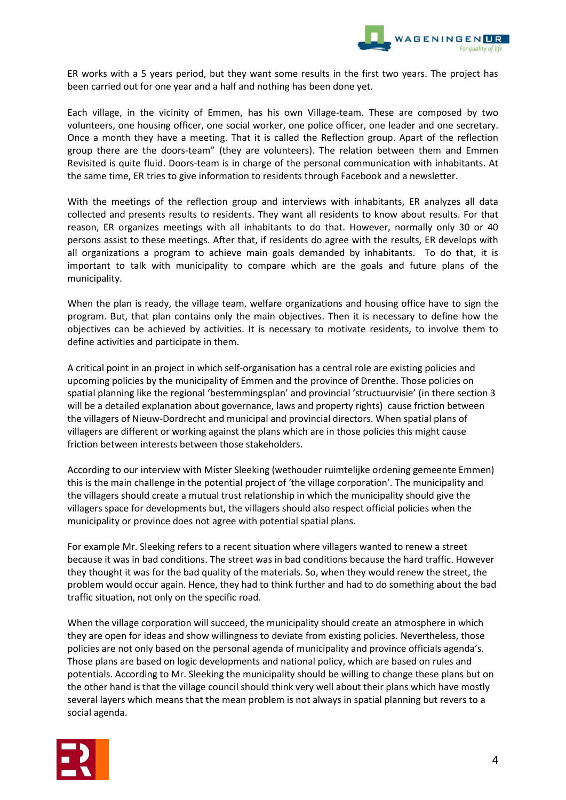

ER works with a 5 years period, but they want some results in the first two years. The project has been carried out for one year and a half and nothing has been done yet.

Each village, in the vicinity of Emmen, has his own Village-team. These are composed by two volunteers, one housing officer, one social worker, one police officer, one leader and one secretary. Once a month they have a meeting. That it is called the Reflection group. Apart of the reflection group there are the doors-team" (they are volunteers). The relation between them and Emmen Revisited is quite fluid. Doors-team is in charge of the personal communication with inhabitants. At the same time, ER tries to give information to residents through Facebook and a newsletter.

With the meetings of the reflection group and interviews with inhabitants, ER analyzes all data collected and presents results to residents. They want all residents to know about results. For that reason, ER organizes meetings with all inhabitants to do that. However, normally only 30 or 40 persons assist to these meetings. After that, if residents do agree with the results, ER develops with all organizations a program to achieve main goals demanded by inhabitants. To do that, it is important to talk with municipality to compare which are the goals and future plans of the municipality.

When the plan is ready, the village team, welfare organizations and housing office have to sign the program. But, that plan contains only the main objectives. Then it is necessary to define how the objectives can be achieved by activities. It is necessary to motivate residents, to involve them to define activities and participate in them.

A critical point in an project in which self-organisation has a central role are existing policies and upcoming policies by the municipality of Emmen and the province of Drenthe. Those policies on spatial planning like the regional 'bestemmingsplan' and provincial 'structuurvisie' (in there section 3 will be a detailed explanation about governance, laws and property rights) cause friction between the villagers of Nieuw-Dordrecht and municipal and provincial directors. When spatial plans of villagers are different or working against the plans which are in those policies this might cause friction between interests between those stakeholders.

According to our interview with Mister Sleeking (wethouder ruimtelijke ordening gemeente Emmen) this is the main challenge in the potential project of 'the village corporation'. The municipality and the villagers should create a mutual trust relationship in which the municipality should give the villagers space for developments but, the villagers should also respect official policies when the municipality or province does not agree with potential spatial plans.

For example Mr. Sleeking refers to a recent situation where villagers wanted to renew a street because it was in bad conditions. The street was in bad conditions because the hard traffic. However they thought it was for the bad quality of the materials. So, when they would renew the street, the problem would occur again. Hence, they had to think further and had to do something about the bad traffic situation, not only on the specific road.

When the village corporation will succeed, the municipality should create an atmosphere in which they are open for ideas and show willingness to deviate from existing policies. Nevertheless, those policies are not only based on the personal agenda of municipality and province officials agenda's. Those plans are based on logic developments and national policy, which are based on rules and potentials. According to Mr. Sleeking the municipality should be willing to change these plans but on the other hand is that the village council should think very well about their plans which have mostly several layers which means that the mean problem is not always in spatial planning but revers to a social agenda.

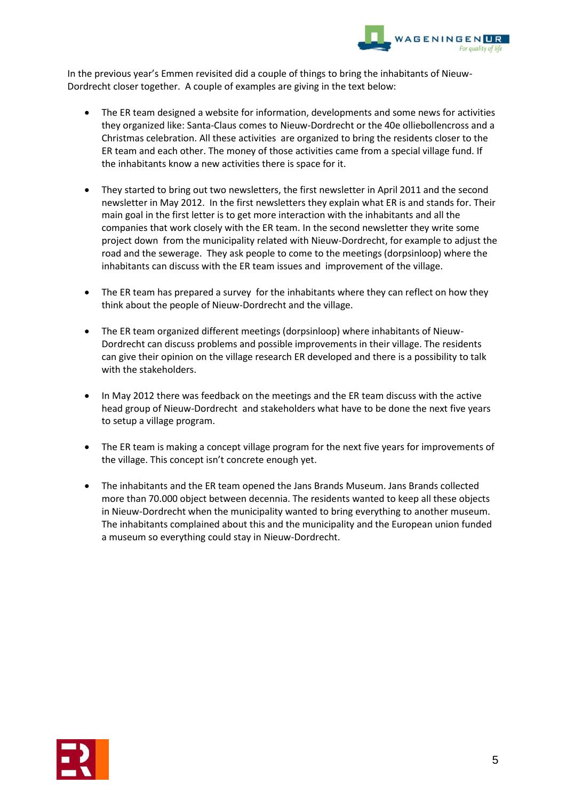

In the previous year's Emmen revisited did a couple of things to bring the inhabitants of Nieuw-Dordrecht closer together. A couple of examples are giving in the text below:

- The ER team designed a website for information, developments and some news for activities they organized like: Santa-Claus comes to Nieuw-Dordrecht or the 40e olliebollencross and a Christmas celebration. All these activities are organized to bring the residents closer to the ER team and each other. The money of those activities came from a special village fund. If the inhabitants know a new activities there is space for it.
- They started to bring out two newsletters, the first newsletter in April 2011 and the second newsletter in May 2012. In the first newsletters they explain what ER is and stands for. Their main goal in the first letter is to get more interaction with the inhabitants and all the companies that work closely with the ER team. In the second newsletter they write some project down from the municipality related with Nieuw-Dordrecht, for example to adjust the road and the sewerage. They ask people to come to the meetings (dorpsinloop) where the inhabitants can discuss with the ER team issues and improvement of the village.
- The ER team has prepared a survey for the inhabitants where they can reflect on how they think about the people of Nieuw-Dordrecht and the village.
- The ER team organized different meetings (dorpsinloop) where inhabitants of Nieuw-Dordrecht can discuss problems and possible improvements in their village. The residents can give their opinion on the village research ER developed and there is a possibility to talk with the stakeholders.
- In May 2012 there was feedback on the meetings and the ER team discuss with the active head group of Nieuw-Dordrecht and stakeholders what have to be done the next five years to setup a village program.
- The ER team is making a concept village program for the next five years for improvements of the village. This concept isn't concrete enough yet.
- The inhabitants and the ER team opened the Jans Brands Museum. Jans Brands collected more than 70.000 object between decennia. The residents wanted to keep all these objects in Nieuw-Dordrecht when the municipality wanted to bring everything to another museum. The inhabitants complained about this and the municipality and the European union funded a museum so everything could stay in Nieuw-Dordrecht.

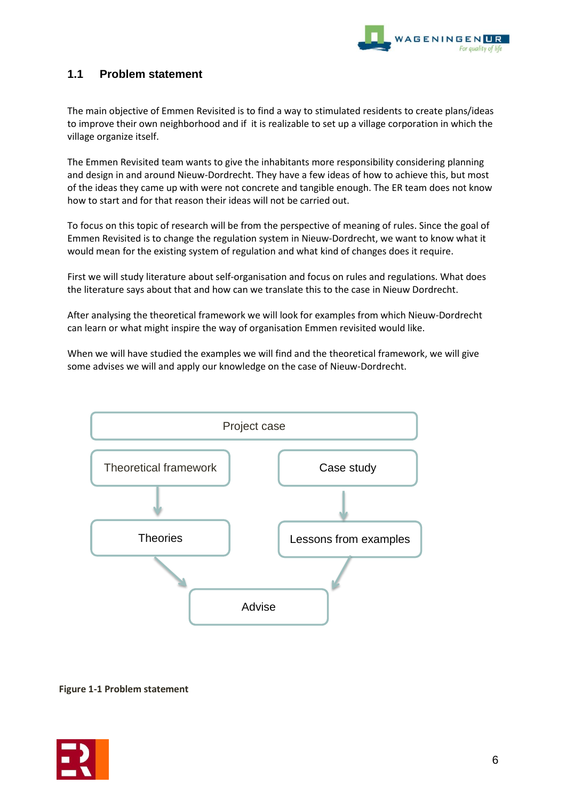

# **1.1 Problem statement**

The main objective of Emmen Revisited is to find a way to stimulated residents to create plans/ideas to improve their own neighborhood and if it is realizable to set up a village corporation in which the village organize itself.

The Emmen Revisited team wants to give the inhabitants more responsibility considering planning and design in and around Nieuw-Dordrecht. They have a few ideas of how to achieve this, but most of the ideas they came up with were not concrete and tangible enough. The ER team does not know how to start and for that reason their ideas will not be carried out.

To focus on this topic of research will be from the perspective of meaning of rules. Since the goal of Emmen Revisited is to change the regulation system in Nieuw-Dordrecht, we want to know what it would mean for the existing system of regulation and what kind of changes does it require.

First we will study literature about self-organisation and focus on rules and regulations. What does the literature says about that and how can we translate this to the case in Nieuw Dordrecht.

After analysing the theoretical framework we will look for examples from which Nieuw-Dordrecht can learn or what might inspire the way of organisation Emmen revisited would like.

When we will have studied the examples we will find and the theoretical framework, we will give some advises we will and apply our knowledge on the case of Nieuw-Dordrecht.



**Figure 1-1 Problem statement**

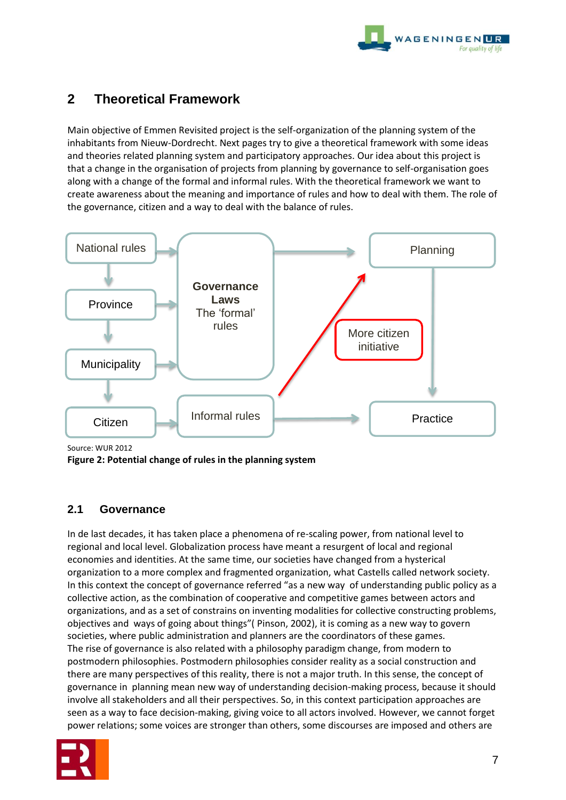

# **2 Theoretical Framework**

Main objective of Emmen Revisited project is the self-organization of the planning system of the inhabitants from Nieuw-Dordrecht. Next pages try to give a theoretical framework with some ideas and theories related planning system and participatory approaches. Our idea about this project is that a change in the organisation of projects from planning by governance to self-organisation goes along with a change of the formal and informal rules. With the theoretical framework we want to create awareness about the meaning and importance of rules and how to deal with them. The role of the governance, citizen and a way to deal with the balance of rules.



Source: WUR 2012

**Figure 2: Potential change of rules in the planning system**

# **2.1 Governance**

In de last decades, it has taken place a phenomena of re-scaling power, from national level to regional and local level. Globalization process have meant a resurgent of local and regional economies and identities. At the same time, our societies have changed from a hysterical organization to a more complex and fragmented organization, what Castells called network society. In this context the concept of governance referred "as a new way of understanding public policy as a collective action, as the combination of cooperative and competitive games between actors and organizations, and as a set of constrains on inventing modalities for collective constructing problems, objectives and ways of going about things"( Pinson, 2002), it is coming as a new way to govern societies, where public administration and planners are the coordinators of these games. The rise of governance is also related with a philosophy paradigm change, from modern to postmodern philosophies. Postmodern philosophies consider reality as a social construction and there are many perspectives of this reality, there is not a major truth. In this sense, the concept of governance in planning mean new way of understanding decision-making process, because it should involve all stakeholders and all their perspectives. So, in this context participation approaches are seen as a way to face decision-making, giving voice to all actors involved. However, we cannot forget power relations; some voices are stronger than others, some discourses are imposed and others are

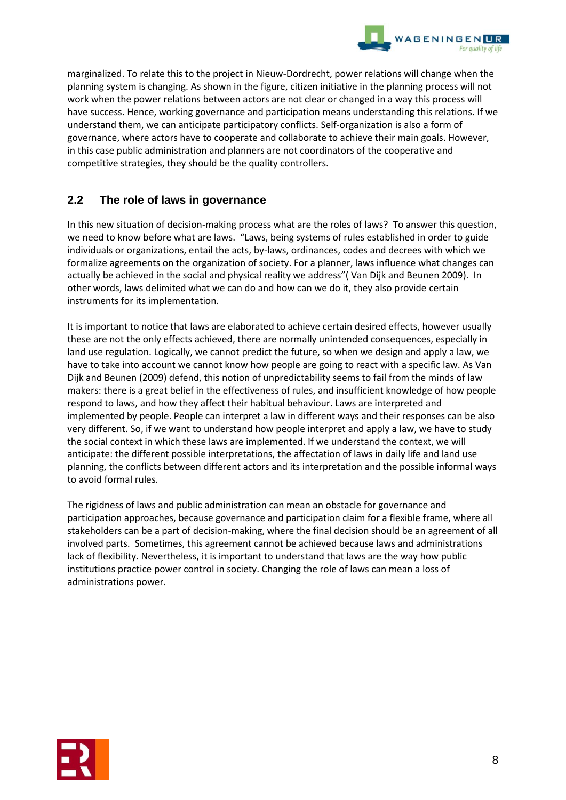

marginalized. To relate this to the project in Nieuw-Dordrecht, power relations will change when the planning system is changing. As shown in the figure, citizen initiative in the planning process will not work when the power relations between actors are not clear or changed in a way this process will have success. Hence, working governance and participation means understanding this relations. If we understand them, we can anticipate participatory conflicts. Self-organization is also a form of governance, where actors have to cooperate and collaborate to achieve their main goals. However, in this case public administration and planners are not coordinators of the cooperative and competitive strategies, they should be the quality controllers.

# **2.2 The role of laws in governance**

In this new situation of decision-making process what are the roles of laws? To answer this question, we need to know before what are laws. "Laws, being systems of rules established in order to guide individuals or organizations, entail the acts, by-laws, ordinances, codes and decrees with which we formalize agreements on the organization of society. For a planner, laws influence what changes can actually be achieved in the social and physical reality we address"( Van Dijk and Beunen 2009). In other words, laws delimited what we can do and how can we do it, they also provide certain instruments for its implementation.

It is important to notice that laws are elaborated to achieve certain desired effects, however usually these are not the only effects achieved, there are normally unintended consequences, especially in land use regulation. Logically, we cannot predict the future, so when we design and apply a law, we have to take into account we cannot know how people are going to react with a specific law. As Van Dijk and Beunen (2009) defend, this notion of unpredictability seems to fail from the minds of law makers: there is a great belief in the effectiveness of rules, and insufficient knowledge of how people respond to laws, and how they affect their habitual behaviour. Laws are interpreted and implemented by people. People can interpret a law in different ways and their responses can be also very different. So, if we want to understand how people interpret and apply a law, we have to study the social context in which these laws are implemented. If we understand the context, we will anticipate: the different possible interpretations, the affectation of laws in daily life and land use planning, the conflicts between different actors and its interpretation and the possible informal ways to avoid formal rules.

The rigidness of laws and public administration can mean an obstacle for governance and participation approaches, because governance and participation claim for a flexible frame, where all stakeholders can be a part of decision-making, where the final decision should be an agreement of all involved parts. Sometimes, this agreement cannot be achieved because laws and administrations lack of flexibility. Nevertheless, it is important to understand that laws are the way how public institutions practice power control in society. Changing the role of laws can mean a loss of administrations power.

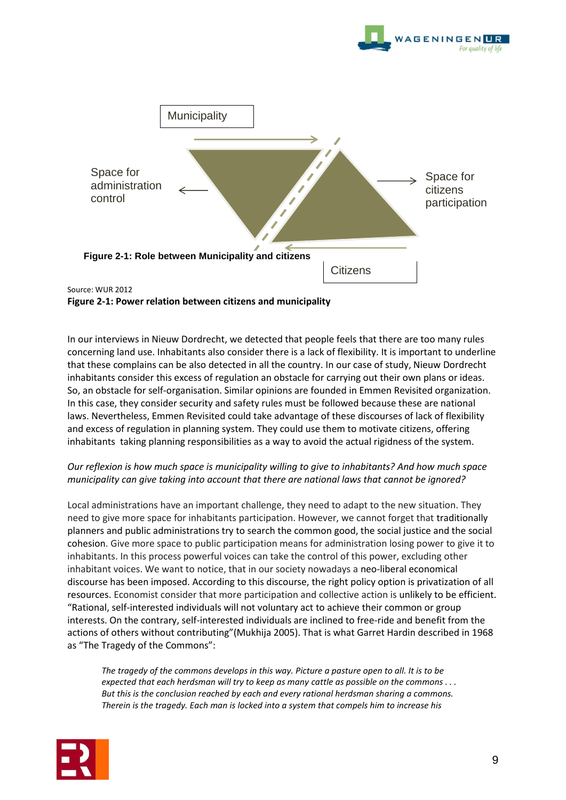



# **Figure 2-1: Power relation between citizens and municipality**

In our interviews in Nieuw Dordrecht, we detected that people feels that there are too many rules concerning land use. Inhabitants also consider there is a lack of flexibility. It is important to underline that these complains can be also detected in all the country. In our case of study, Nieuw Dordrecht inhabitants consider this excess of regulation an obstacle for carrying out their own plans or ideas. So, an obstacle for self-organisation. Similar opinions are founded in Emmen Revisited organization. In this case, they consider security and safety rules must be followed because these are national laws. Nevertheless, Emmen Revisited could take advantage of these discourses of lack of flexibility and excess of regulation in planning system. They could use them to motivate citizens, offering inhabitants taking planning responsibilities as a way to avoid the actual rigidness of the system.

# *Our reflexion is how much space is municipality willing to give to inhabitants? And how much space municipality can give taking into account that there are national laws that cannot be ignored?*

Local administrations have an important challenge, they need to adapt to the new situation. They need to give more space for inhabitants participation. However, we cannot forget that traditionally planners and public administrations try to search the common good, the social justice and the social cohesion. Give more space to public participation means for administration losing power to give it to inhabitants. In this process powerful voices can take the control of this power, excluding other inhabitant voices. We want to notice, that in our society nowadays a neo-liberal economical discourse has been imposed. According to this discourse, the right policy option is privatization of all resources. Economist consider that more participation and collective action is unlikely to be efficient. "Rational, self-interested individuals will not voluntary act to achieve their common or group interests. On the contrary, self-interested individuals are inclined to free-ride and benefit from the actions of others without contributing"(Mukhija 2005). That is what Garret Hardin described in 1968 as "The Tragedy of the Commons":

*The tragedy of the commons develops in this way. Picture a pasture open to all. It is to be expected that each herdsman will try to keep as many cattle as possible on the commons . . . But this is the conclusion reached by each and every rational herdsman sharing a commons. Therein is the tragedy. Each man is locked into a system that compels him to increase his*

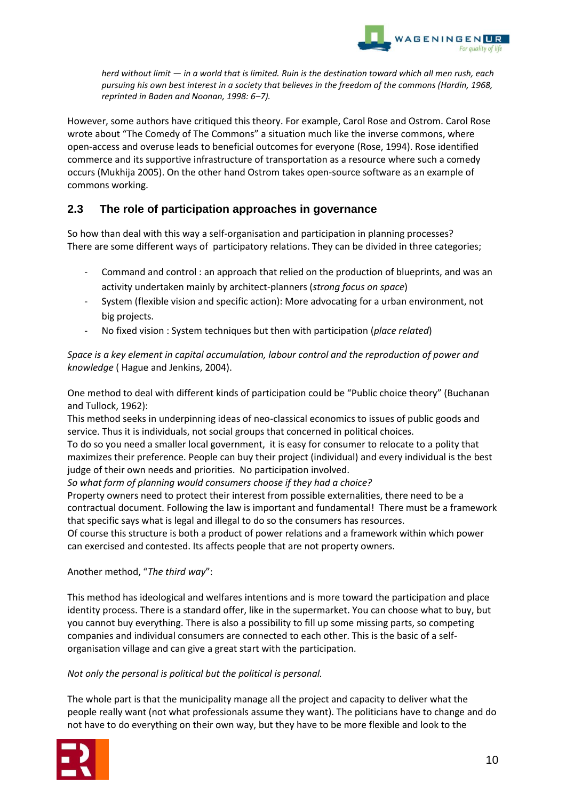

*herd without limit — in a world that is limited. Ruin is the destination toward which all men rush, each pursuing his own best interest in a society that believes in the freedom of the commons (Hardin, 1968, reprinted in Baden and Noonan, 1998: 6–7).*

However, some authors have critiqued this theory. For example, Carol Rose and Ostrom. Carol Rose wrote about "The Comedy of The Commons" a situation much like the inverse commons, where open-access and overuse leads to beneficial outcomes for everyone (Rose, 1994). Rose identified commerce and its supportive infrastructure of transportation as a resource where such a comedy occurs (Mukhija 2005). On the other hand Ostrom takes open-source software as an example of commons working.

# **2.3 The role of participation approaches in governance**

So how than deal with this way a self-organisation and participation in planning processes? There are some different ways of participatory relations. They can be divided in three categories;

- Command and control : an approach that relied on the production of blueprints, and was an activity undertaken mainly by architect-planners (*strong focus on space*)
- System (flexible vision and specific action): More advocating for a urban environment, not big projects.
- No fixed vision : System techniques but then with participation (*place related*)

*Space is a key element in capital accumulation, labour control and the reproduction of power and knowledge* ( Hague and Jenkins, 2004).

One method to deal with different kinds of participation could be "Public choice theory" (Buchanan and Tullock, 1962):

This method seeks in underpinning ideas of neo-classical economics to issues of public goods and service. Thus it is individuals, not social groups that concerned in political choices.

To do so you need a smaller local government, it is easy for consumer to relocate to a polity that maximizes their preference. People can buy their project (individual) and every individual is the best judge of their own needs and priorities. No participation involved.

*So what form of planning would consumers choose if they had a choice?*

Property owners need to protect their interest from possible externalities, there need to be a contractual document. Following the law is important and fundamental! There must be a framework that specific says what is legal and illegal to do so the consumers has resources.

Of course this structure is both a product of power relations and a framework within which power can exercised and contested. Its affects people that are not property owners.

# Another method, "*The third way*":

This method has ideological and welfares intentions and is more toward the participation and place identity process. There is a standard offer, like in the supermarket. You can choose what to buy, but you cannot buy everything. There is also a possibility to fill up some missing parts, so competing companies and individual consumers are connected to each other. This is the basic of a selforganisation village and can give a great start with the participation.

# *Not only the personal is political but the political is personal.*

The whole part is that the municipality manage all the project and capacity to deliver what the people really want (not what professionals assume they want). The politicians have to change and do not have to do everything on their own way, but they have to be more flexible and look to the

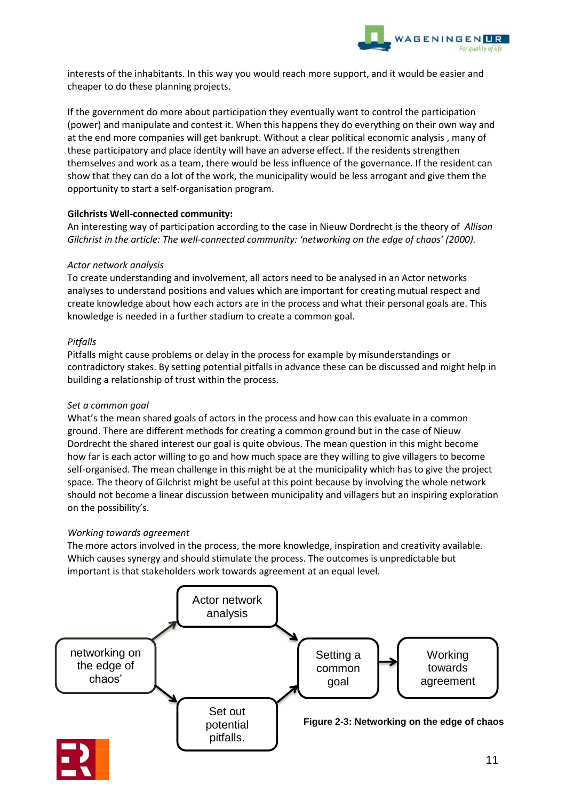

interests of the inhabitants. In this way you would reach more support, and it would be easier and cheaper to do these planning projects.

If the government do more about participation they eventually want to control the participation (power) and manipulate and contest it. When this happens they do everything on their own way and at the end more companies will get bankrupt. Without a clear political economic analysis , many of these participatory and place identity will have an adverse effect. If the residents strengthen themselves and work as a team, there would be less influence of the governance. If the resident can show that they can do a lot of the work, the municipality would be less arrogant and give them the opportunity to start a self-organisation program.

# **Gilchrists Well-connected community:**

An interesting way of participation according to the case in Nieuw Dordrecht is the theory of *Allison Gilchrist in the article: The well-connected community: 'networking on the edge of chaos' (2000).* 

# *Actor network analysis*

To create understanding and involvement, all actors need to be analysed in an Actor networks analyses to understand positions and values which are important for creating mutual respect and create knowledge about how each actors are in the process and what their personal goals are. This knowledge is needed in a further stadium to create a common goal.

# *Pitfalls*

Pitfalls might cause problems or delay in the process for example by misunderstandings or contradictory stakes. By setting potential pitfalls in advance these can be discussed and might help in building a relationship of trust within the process.

# *Set a common goal*

What's the mean shared goals of actors in the process and how can this evaluate in a common ground. There are different methods for creating a common ground but in the case of Nieuw Dordrecht the shared interest our goal is quite obvious. The mean question in this might become how far is each actor willing to go and how much space are they willing to give villagers to become self-organised. The mean challenge in this might be at the municipality which has to give the project space. The theory of Gilchrist might be useful at this point because by involving the whole network should not become a linear discussion between municipality and villagers but an inspiring exploration on the possibility's.

# *Working towards agreement*

The more actors involved in the process, the more knowledge, inspiration and creativity available. Which causes synergy and should stimulate the process. The outcomes is unpredictable but important is that stakeholders work towards agreement at an equal level.

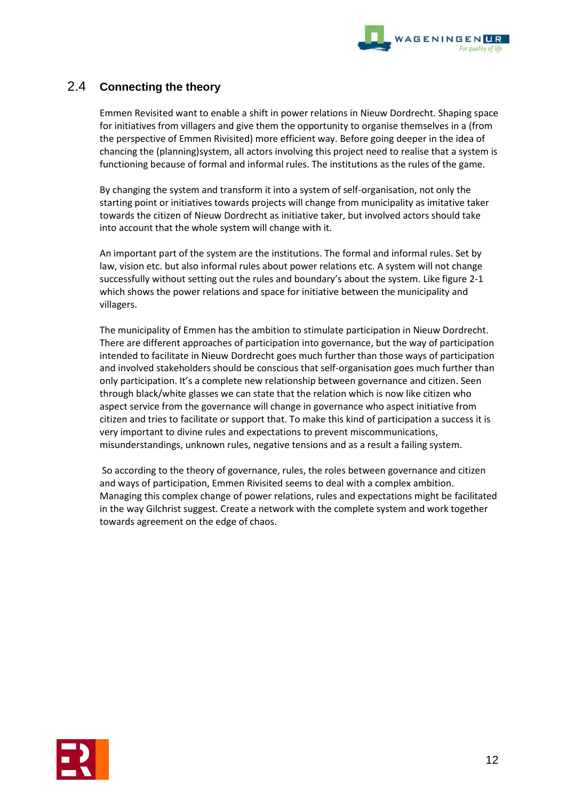

# 2.4 **Connecting the theory**

Emmen Revisited want to enable a shift in power relations in Nieuw Dordrecht. Shaping space for initiatives from villagers and give them the opportunity to organise themselves in a (from the perspective of Emmen Rivisited) more efficient way. Before going deeper in the idea of chancing the (planning)system, all actors involving this project need to realise that a system is functioning because of formal and informal rules. The institutions as the rules of the game.

By changing the system and transform it into a system of self-organisation, not only the starting point or initiatives towards projects will change from municipality as imitative taker towards the citizen of Nieuw Dordrecht as initiative taker, but involved actors should take into account that the whole system will change with it.

An important part of the system are the institutions. The formal and informal rules. Set by law, vision etc. but also informal rules about power relations etc. A system will not change successfully without setting out the rules and boundary's about the system. Like figure 2-1 which shows the power relations and space for initiative between the municipality and villagers.

The municipality of Emmen has the ambition to stimulate participation in Nieuw Dordrecht. There are different approaches of participation into governance, but the way of participation intended to facilitate in Nieuw Dordrecht goes much further than those ways of participation and involved stakeholders should be conscious that self-organisation goes much further than only participation. It's a complete new relationship between governance and citizen. Seen through black/white glasses we can state that the relation which is now like citizen who aspect service from the governance will change in governance who aspect initiative from citizen and tries to facilitate or support that. To make this kind of participation a success it is very important to divine rules and expectations to prevent miscommunications, misunderstandings, unknown rules, negative tensions and as a result a failing system.

So according to the theory of governance, rules, the roles between governance and citizen and ways of participation, Emmen Rivisited seems to deal with a complex ambition. Managing this complex change of power relations, rules and expectations might be facilitated in the way Gilchrist suggest. Create a network with the complete system and work together towards agreement on the edge of chaos.

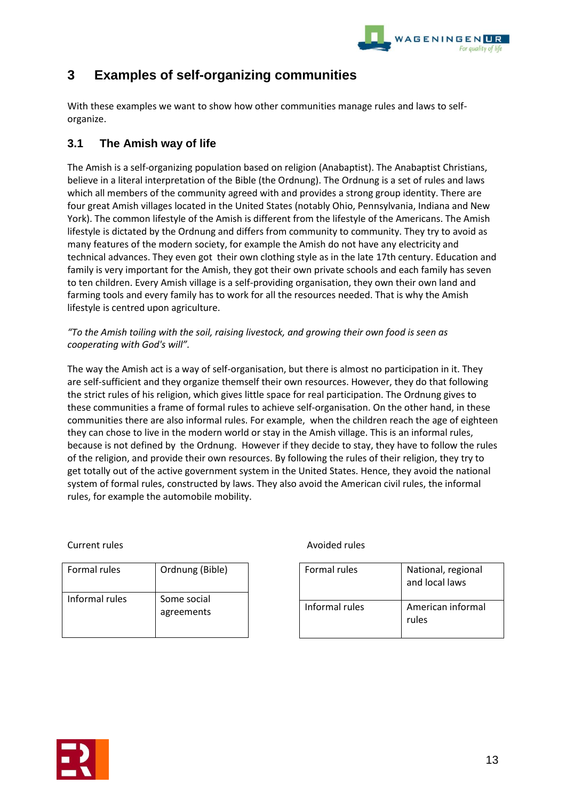

# **3 Examples of self-organizing communities**

With these examples we want to show how other communities manage rules and laws to selforganize.

# **3.1 The Amish way of life**

The Amish is a self-organizing population based on religion (Anabaptist). The [Anabaptist](http://en.wikipedia.org/wiki/Anabaptist) Christians, believe in a literal interpretation of the Bible (the Ordnung). The Ordnung is a set of rules and laws which all members of the community agreed with and provides a strong group identity. There are four great Amish villages located in the United States (notably Ohio, Pennsylvania, Indiana and New York). The common lifestyle of the Amish is different from the lifestyle of the Americans. The Amish lifestyle is dictated by the Ordnung and differs from community to community. They try to avoid as many features of the modern society, for example the Amish do not have any electricity and technical advances. They even got their own clothing style as in the late 17th century. Education and family is very important for the Amish, they got their own private schools and each family has seven to ten children. Every Amish village is a self-providing organisation, they own their own land and farming tools and every family has to work for all the resources needed. That is why the Amish lifestyle is centred upon agriculture.

*"To the Amish toiling with the soil, raising livestock, and growing their own food is seen as cooperating with God's will".* 

The way the Amish act is a way of self-organisation, but there is almost no participation in it. They are self-sufficient and they organize themself their own resources. However, they do that following the strict rules of his religion, which gives little space for real participation. The Ordnung gives to these communities a frame of formal rules to achieve self-organisation. On the other hand, in these communities there are also informal rules. For example, when the children reach the age of eighteen they can chose to live in the modern world or stay in the Amish village. This is an informal rules, because is not defined by the Ordnung. However if they decide to stay, they have to follow the rules of the religion, and provide their own resources. By following the rules of their religion, they try to get totally out of the active government system in the United States. Hence, they avoid the national system of formal rules, constructed by laws. They also avoid the American civil rules, the informal rules, for example the automobile mobility.

| <b>Formal rules</b> | Ordnung (Bible)           |
|---------------------|---------------------------|
| Informal rules      | Some social<br>agreements |

# Current rules **Avoided rules** Avoided rules

| Formal rules   | National, regional<br>and local laws |
|----------------|--------------------------------------|
| Informal rules | American informal<br>rules           |

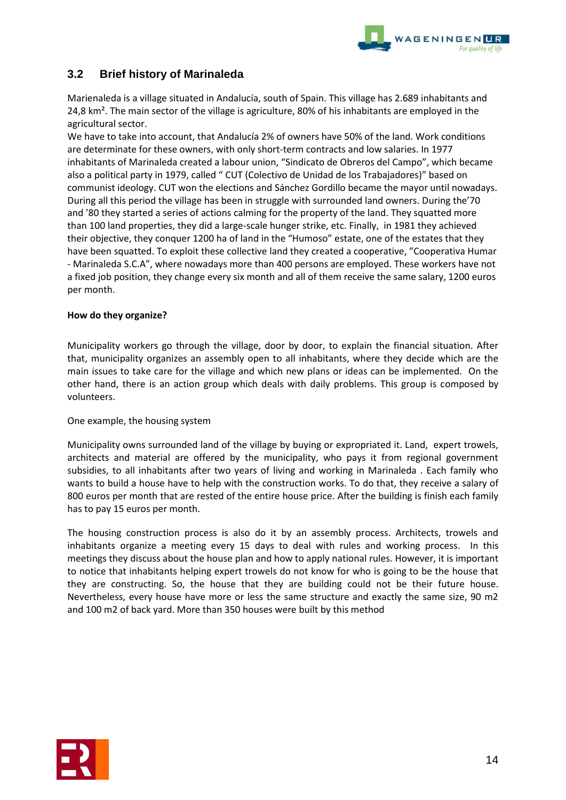

# **3.2 Brief history of Marinaleda**

Marienaleda is a village situated in Andalucía, south of Spain. This village has 2.689 inhabitants and 24,8 km<sup>2</sup>. The main sector of the village is agriculture, 80% of his inhabitants are employed in the agricultural sector.

We have to take into account, that Andalucía 2% of owners have 50% of the land. Work conditions are determinate for these owners, with only short-term contracts and low salaries. In 1977 inhabitants of Marinaleda created a labour union, "Sindicato de Obreros del Campo", which became also a political party in 1979, called " CUT (Colectivo de Unidad de los Trabajadores)" based on communist ideology. CUT won the elections and Sánchez Gordillo became the mayor until nowadays. During all this period the village has been in struggle with surrounded land owners. During the'70 and '80 they started a series of actions calming for the property of the land. They squatted more than 100 land properties, they did a large-scale hunger strike, etc. Finally, in 1981 they achieved their objective, they conquer 1200 ha of land in the "Humoso" estate, one of the estates that they have been squatted. To exploit these collective land they created a cooperative, "Cooperativa Humar - Marinaleda S.C.A", where nowadays more than 400 persons are employed. These workers have not a fixed job position, they change every six month and all of them receive the same salary, 1200 euros per month.

# **How do they organize?**

Municipality workers go through the village, door by door, to explain the financial situation. After that, municipality organizes an assembly open to all inhabitants, where they decide which are the main issues to take care for the village and which new plans or ideas can be implemented. On the other hand, there is an action group which deals with daily problems. This group is composed by volunteers.

#### One example, the housing system

Municipality owns surrounded land of the village by buying or expropriated it. Land, expert trowels, architects and material are offered by the municipality, who pays it from regional government subsidies, to all inhabitants after two years of living and working in Marinaleda . Each family who wants to build a house have to help with the construction works. To do that, they receive a salary of 800 euros per month that are rested of the entire house price. After the building is finish each family has to pay 15 euros per month.

The housing construction process is also do it by an assembly process. Architects, trowels and inhabitants organize a meeting every 15 days to deal with rules and working process. In this meetings they discuss about the house plan and how to apply national rules. However, it is important to notice that inhabitants helping expert trowels do not know for who is going to be the house that they are constructing. So, the house that they are building could not be their future house. Nevertheless, every house have more or less the same structure and exactly the same size, 90 m2 and 100 m2 of back yard. More than 350 houses were built by this method

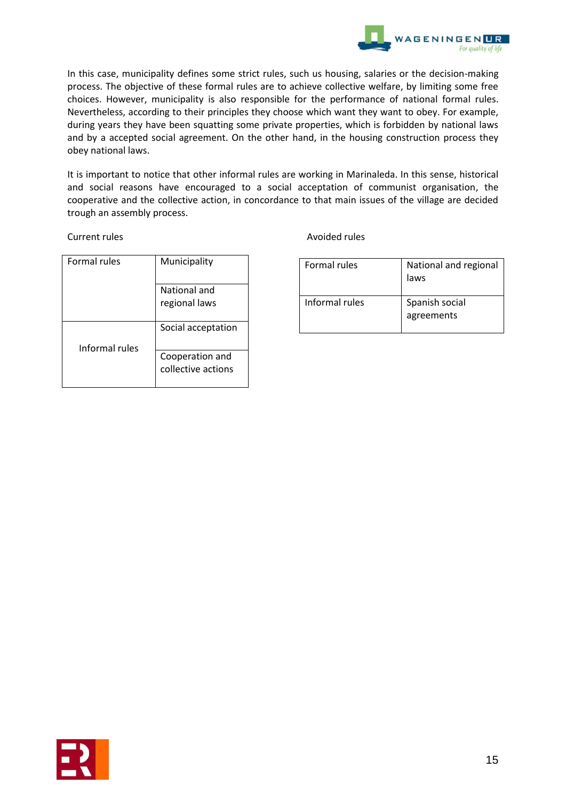

In this case, municipality defines some strict rules, such us housing, salaries or the decision-making process. The objective of these formal rules are to achieve collective welfare, by limiting some free choices. However, municipality is also responsible for the performance of national formal rules. Nevertheless, according to their principles they choose which want they want to obey. For example, during years they have been squatting some private properties, which is forbidden by national laws and by a accepted social agreement. On the other hand, in the housing construction process they obey national laws.

It is important to notice that other informal rules are working in Marinaleda. In this sense, historical and social reasons have encouraged to a social acceptation of communist organisation, the cooperative and the collective action, in concordance to that main issues of the village are decided trough an assembly process.

| <b>Formal rules</b> | Municipality                          |
|---------------------|---------------------------------------|
|                     | National and                          |
|                     | regional laws                         |
| Informal rules      | Social acceptation                    |
|                     | Cooperation and<br>collective actions |

Current rules **Avoided rules Avoided rules** 

| Formal rules   | National and regional<br>laws |
|----------------|-------------------------------|
| Informal rules | Spanish social<br>agreements  |

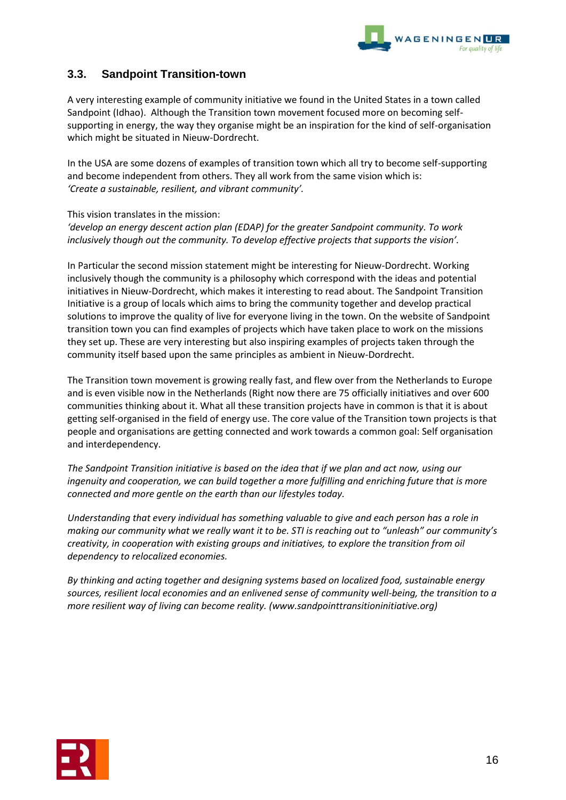

# **3.3. Sandpoint Transition-town**

A very interesting example of community initiative we found in the United States in a town called Sandpoint (Idhao). Although the Transition town movement focused more on becoming selfsupporting in energy, the way they organise might be an inspiration for the kind of self-organisation which might be situated in Nieuw-Dordrecht.

In the USA are some dozens of examples of transition town which all try to become self-supporting and become independent from others. They all work from the same vision which is: *'Create a sustainable, resilient, and vibrant community'.*

This vision translates in the mission:

*'develop an energy descent action plan (EDAP) for the greater Sandpoint community. To work inclusively though out the community. To develop effective projects that supports the vision'.*

In Particular the second mission statement might be interesting for Nieuw-Dordrecht. Working inclusively though the community is a philosophy which correspond with the ideas and potential initiatives in Nieuw-Dordrecht, which makes it interesting to read about. The Sandpoint Transition Initiative is a group of locals which aims to bring the community together and develop practical solutions to improve the quality of live for everyone living in the town. On the website of Sandpoint transition town you can find examples of projects which have taken place to work on the missions they set up. These are very interesting but also inspiring examples of projects taken through the community itself based upon the same principles as ambient in Nieuw-Dordrecht.

The Transition town movement is growing really fast, and flew over from the Netherlands to Europe and is even visible now in the Netherlands (Right now there are 75 officially initiatives and over 600 communities thinking about it. What all these transition projects have in common is that it is about getting self-organised in the field of energy use. The core value of the Transition town projects is that people and organisations are getting connected and work towards a common goal: Self organisation and interdependency.

*The Sandpoint Transition initiative is based on the idea that if we plan and act now, using our ingenuity and cooperation, we can build together a more fulfilling and enriching future that is more connected and more gentle on the earth than our lifestyles today.* 

*Understanding that every individual has something valuable to give and each person has a role in making our community what we really want it to be. STI is reaching out to "unleash" our community's creativity, in cooperation with existing groups and initiatives, to explore the transition from oil dependency to relocalized economies.*

*By thinking and acting together and designing systems based on localized food, sustainable energy sources, resilient local economies and an enlivened sense of community well-being, the transition to a more resilient way of living can become reality. (www.sandpointtransitioninitiative.org)*

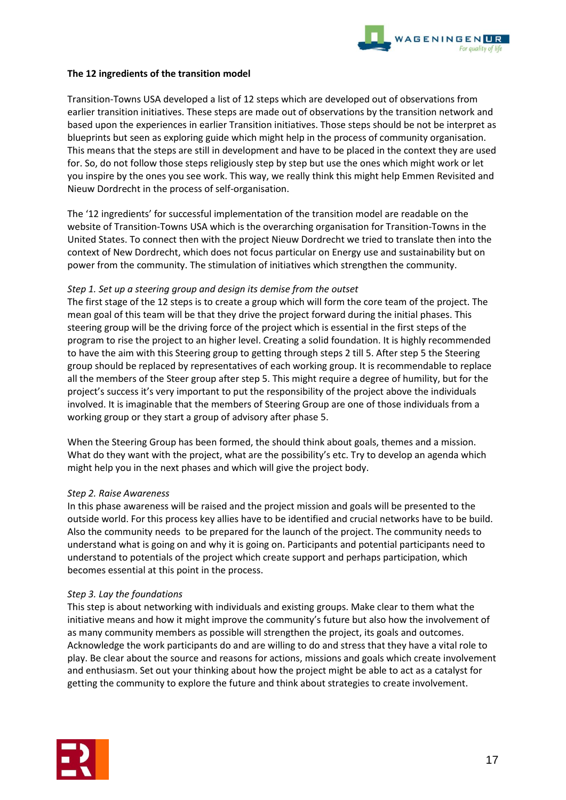

# **The 12 ingredients of the transition model**

Transition-Towns USA developed a list of 12 steps which are developed out of observations from earlier transition initiatives. These steps are made out of observations by the transition network and based upon the experiences in earlier Transition initiatives. Those steps should be not be interpret as blueprints but seen as exploring guide which might help in the process of community organisation. This means that the steps are still in development and have to be placed in the context they are used for. So, do not follow those steps religiously step by step but use the ones which might work or let you inspire by the ones you see work. This way, we really think this might help Emmen Revisited and Nieuw Dordrecht in the process of self-organisation.

The '12 ingredients' for successful implementation of the transition model are readable on the website of Transition-Towns USA which is the overarching organisation for Transition-Towns in the United States. To connect then with the project Nieuw Dordrecht we tried to translate then into the context of New Dordrecht, which does not focus particular on Energy use and sustainability but on power from the community. The stimulation of initiatives which strengthen the community.

# *Step 1. Set up a steering group and design its demise from the outset*

The first stage of the 12 steps is to create a group which will form the core team of the project. The mean goal of this team will be that they drive the project forward during the initial phases. This steering group will be the driving force of the project which is essential in the first steps of the program to rise the project to an higher level. Creating a solid foundation. It is highly recommended to have the aim with this Steering group to getting through steps 2 till 5. After step 5 the Steering group should be replaced by representatives of each working group. It is recommendable to replace all the members of the Steer group after step 5. This might require a degree of humility, but for the project's success it's very important to put the responsibility of the project above the individuals involved. It is imaginable that the members of Steering Group are one of those individuals from a working group or they start a group of advisory after phase 5.

When the Steering Group has been formed, the should think about goals, themes and a mission. What do they want with the project, what are the possibility's etc. Try to develop an agenda which might help you in the next phases and which will give the project body.

#### *Step 2. Raise Awareness*

In this phase awareness will be raised and the project mission and goals will be presented to the outside world. For this process key allies have to be identified and crucial networks have to be build. Also the community needs to be prepared for the launch of the project. The community needs to understand what is going on and why it is going on. Participants and potential participants need to understand to potentials of the project which create support and perhaps participation, which becomes essential at this point in the process.

# *Step 3. Lay the foundations*

This step is about networking with individuals and existing groups. Make clear to them what the initiative means and how it might improve the community's future but also how the involvement of as many community members as possible will strengthen the project, its goals and outcomes. Acknowledge the work participants do and are willing to do and stress that they have a vital role to play. Be clear about the source and reasons for actions, missions and goals which create involvement and enthusiasm. Set out your thinking about how the project might be able to act as a catalyst for getting the community to explore the future and think about strategies to create involvement.

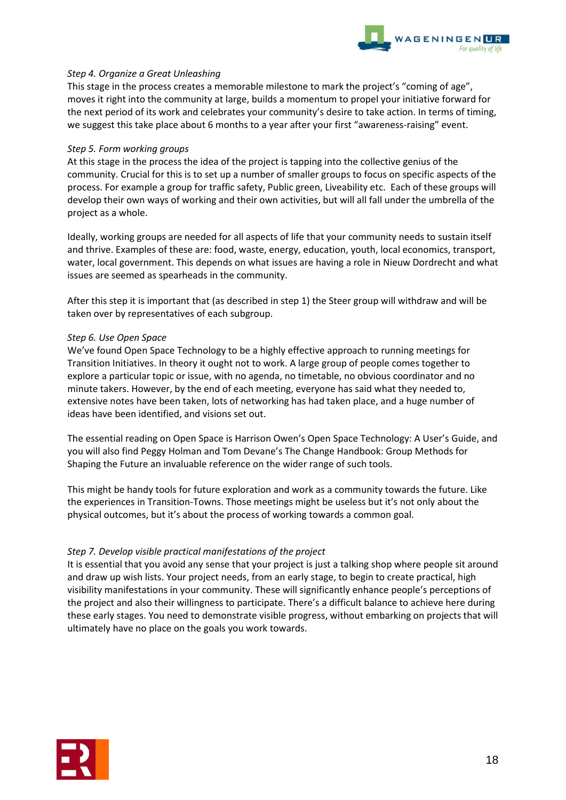

# *Step 4. Organize a Great Unleashing*

This stage in the process creates a memorable milestone to mark the project's "coming of age", moves it right into the community at large, builds a momentum to propel your initiative forward for the next period of its work and celebrates your community's desire to take action. In terms of timing, we suggest this take place about 6 months to a year after your first "awareness-raising" event.

#### *Step 5. Form working groups*

At this stage in the process the idea of the project is tapping into the collective genius of the community. Crucial for this is to set up a number of smaller groups to focus on specific aspects of the process. For example a group for traffic safety, Public green, Liveability etc. Each of these groups will develop their own ways of working and their own activities, but will all fall under the umbrella of the project as a whole.

Ideally, working groups are needed for all aspects of life that your community needs to sustain itself and thrive. Examples of these are: food, waste, energy, education, youth, local economics, transport, water, local government. This depends on what issues are having a role in Nieuw Dordrecht and what issues are seemed as spearheads in the community.

After this step it is important that (as described in step 1) the Steer group will withdraw and will be taken over by representatives of each subgroup.

#### *Step 6. Use Open Space*

We've found Open Space Technology to be a highly effective approach to running meetings for Transition Initiatives. In theory it ought not to work. A large group of people comes together to explore a particular topic or issue, with no agenda, no timetable, no obvious coordinator and no minute takers. However, by the end of each meeting, everyone has said what they needed to, extensive notes have been taken, lots of networking has had taken place, and a huge number of ideas have been identified, and visions set out.

The essential reading on Open Space is Harrison Owen's Open Space Technology: A User's Guide, and you will also find Peggy Holman and Tom Devane's The Change Handbook: Group Methods for Shaping the Future an invaluable reference on the wider range of such tools.

This might be handy tools for future exploration and work as a community towards the future. Like the experiences in Transition-Towns. Those meetings might be useless but it's not only about the physical outcomes, but it's about the process of working towards a common goal.

# *Step 7. Develop visible practical manifestations of the project*

It is essential that you avoid any sense that your project is just a talking shop where people sit around and draw up wish lists. Your project needs, from an early stage, to begin to create practical, high visibility manifestations in your community. These will significantly enhance people's perceptions of the project and also their willingness to participate. There's a difficult balance to achieve here during these early stages. You need to demonstrate visible progress, without embarking on projects that will ultimately have no place on the goals you work towards.

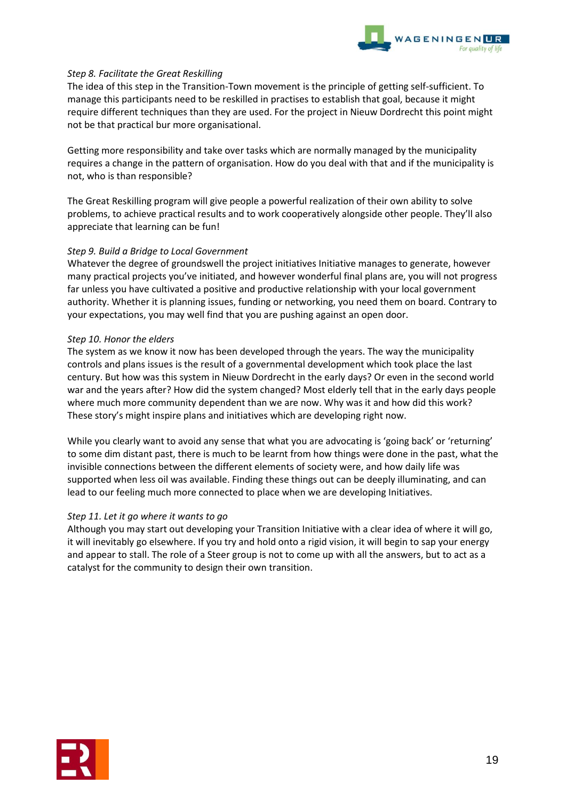

# *Step 8. Facilitate the Great Reskilling*

The idea of this step in the Transition-Town movement is the principle of getting self-sufficient. To manage this participants need to be reskilled in practises to establish that goal, because it might require different techniques than they are used. For the project in Nieuw Dordrecht this point might not be that practical bur more organisational.

Getting more responsibility and take over tasks which are normally managed by the municipality requires a change in the pattern of organisation. How do you deal with that and if the municipality is not, who is than responsible?

The Great Reskilling program will give people a powerful realization of their own ability to solve problems, to achieve practical results and to work cooperatively alongside other people. They'll also appreciate that learning can be fun!

# *Step 9. Build a Bridge to Local Government*

Whatever the degree of groundswell the project initiatives Initiative manages to generate, however many practical projects you've initiated, and however wonderful final plans are, you will not progress far unless you have cultivated a positive and productive relationship with your local government authority. Whether it is planning issues, funding or networking, you need them on board. Contrary to your expectations, you may well find that you are pushing against an open door.

# *Step 10. Honor the elders*

The system as we know it now has been developed through the years. The way the municipality controls and plans issues is the result of a governmental development which took place the last century. But how was this system in Nieuw Dordrecht in the early days? Or even in the second world war and the years after? How did the system changed? Most elderly tell that in the early days people where much more community dependent than we are now. Why was it and how did this work? These story's might inspire plans and initiatives which are developing right now.

While you clearly want to avoid any sense that what you are advocating is 'going back' or 'returning' to some dim distant past, there is much to be learnt from how things were done in the past, what the invisible connections between the different elements of society were, and how daily life was supported when less oil was available. Finding these things out can be deeply illuminating, and can lead to our feeling much more connected to place when we are developing Initiatives.

# *Step 11. Let it go where it wants to go*

Although you may start out developing your Transition Initiative with a clear idea of where it will go, it will inevitably go elsewhere. If you try and hold onto a rigid vision, it will begin to sap your energy and appear to stall. The role of a Steer group is not to come up with all the answers, but to act as a catalyst for the community to design their own transition.

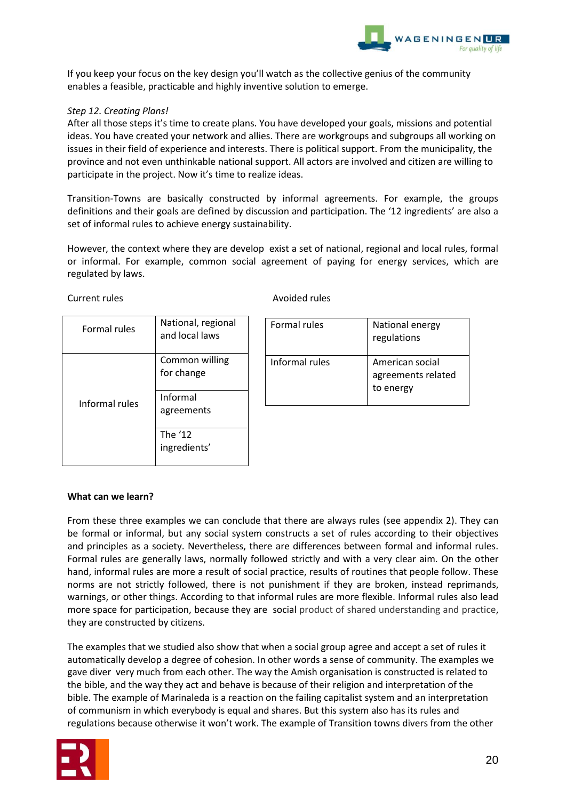

If you keep your focus on the key design you'll watch as the collective genius of the community enables a feasible, practicable and highly inventive solution to emerge.

# *Step 12. Creating Plans!*

After all those steps it's time to create plans. You have developed your goals, missions and potential ideas. You have created your network and allies. There are workgroups and subgroups all working on issues in their field of experience and interests. There is political support. From the municipality, the province and not even unthinkable national support. All actors are involved and citizen are willing to participate in the project. Now it's time to realize ideas.

Transition-Towns are basically constructed by informal agreements. For example, the groups definitions and their goals are defined by discussion and participation. The '12 ingredients' are also a set of informal rules to achieve energy sustainability.

However, the context where they are develop exist a set of national, regional and local rules, formal or informal. For example, common social agreement of paying for energy services, which are regulated by laws.

| <b>Formal rules</b> | National, regional<br>and local laws |
|---------------------|--------------------------------------|
|                     | Common willing<br>for change         |
| Informal rules      | Informal<br>agreements               |
|                     | The '12<br>ingredients'              |

#### Current rules **Avoided rules** Avoided rules

| Formal rules   | National energy<br>regulations                     |
|----------------|----------------------------------------------------|
| Informal rules | American social<br>agreements related<br>to energy |

# **What can we learn?**

From these three examples we can conclude that there are always rules (see appendix 2). They can be formal or informal, but any social system constructs a set of rules according to their objectives and principles as a society. Nevertheless, there are differences between formal and informal rules. Formal rules are generally laws, normally followed strictly and with a very clear aim. On the other hand, informal rules are more a result of social practice, results of routines that people follow. These norms are not strictly followed, there is not punishment if they are broken, instead reprimands, warnings, or other things. According to that informal rules are more flexible. Informal rules also lead more space for participation, because they are social product of shared understanding and practice, they are constructed by citizens.

The examples that we studied also show that when a social group agree and accept a set of rules it automatically develop a degree of cohesion. In other words a sense of community. The examples we gave diver very much from each other. The way the Amish organisation is constructed is related to the bible, and the way they act and behave is because of their religion and interpretation of the bible. The example of Marinaleda is a reaction on the failing capitalist system and an interpretation of communism in which everybody is equal and shares. But this system also has its rules and regulations because otherwise it won't work. The example of Transition towns divers from the other

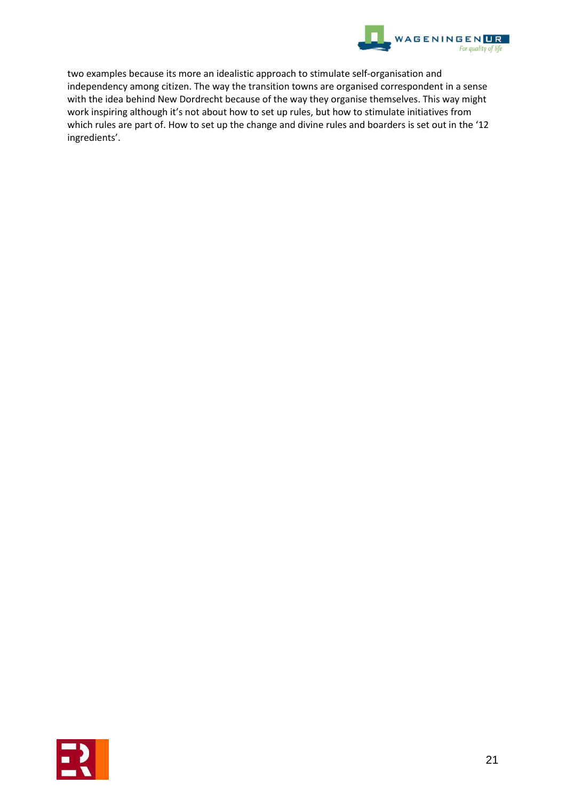

two examples because its more an idealistic approach to stimulate self-organisation and independency among citizen. The way the transition towns are organised correspondent in a sense with the idea behind New Dordrecht because of the way they organise themselves. This way might work inspiring although it's not about how to set up rules, but how to stimulate initiatives from which rules are part of. How to set up the change and divine rules and boarders is set out in the '12 ingredients'.

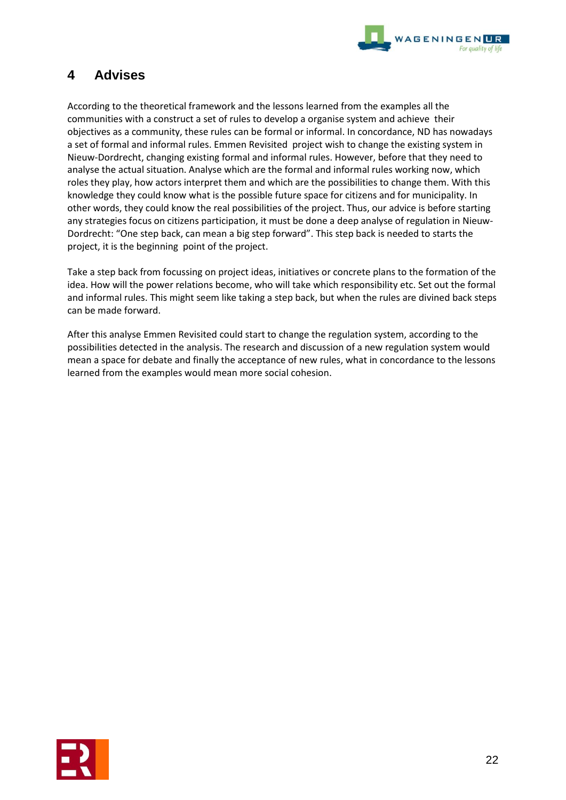

# **4 Advises**

According to the theoretical framework and the lessons learned from the examples all the communities with a construct a set of rules to develop a organise system and achieve their objectives as a community, these rules can be formal or informal. In concordance, ND has nowadays a set of formal and informal rules. Emmen Revisited project wish to change the existing system in Nieuw-Dordrecht, changing existing formal and informal rules. However, before that they need to analyse the actual situation. Analyse which are the formal and informal rules working now, which roles they play, how actors interpret them and which are the possibilities to change them. With this knowledge they could know what is the possible future space for citizens and for municipality. In other words, they could know the real possibilities of the project. Thus, our advice is before starting any strategies focus on citizens participation, it must be done a deep analyse of regulation in Nieuw-Dordrecht: "One step back, can mean a big step forward". This step back is needed to starts the project, it is the beginning point of the project.

Take a step back from focussing on project ideas, initiatives or concrete plans to the formation of the idea. How will the power relations become, who will take which responsibility etc. Set out the formal and informal rules. This might seem like taking a step back, but when the rules are divined back steps can be made forward.

After this analyse Emmen Revisited could start to change the regulation system, according to the possibilities detected in the analysis. The research and discussion of a new regulation system would mean a space for debate and finally the acceptance of new rules, what in concordance to the lessons learned from the examples would mean more social cohesion.

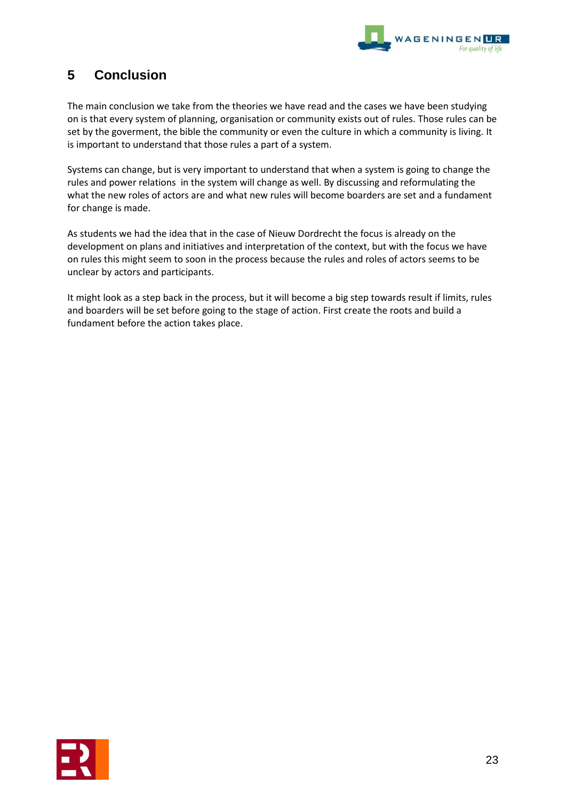

# **5 Conclusion**

The main conclusion we take from the theories we have read and the cases we have been studying on is that every system of planning, organisation or community exists out of rules. Those rules can be set by the goverment, the bible the community or even the culture in which a community is living. It is important to understand that those rules a part of a system.

Systems can change, but is very important to understand that when a system is going to change the rules and power relations in the system will change as well. By discussing and reformulating the what the new roles of actors are and what new rules will become boarders are set and a fundament for change is made.

As students we had the idea that in the case of Nieuw Dordrecht the focus is already on the development on plans and initiatives and interpretation of the context, but with the focus we have on rules this might seem to soon in the process because the rules and roles of actors seems to be unclear by actors and participants.

It might look as a step back in the process, but it will become a big step towards result if limits, rules and boarders will be set before going to the stage of action. First create the roots and build a fundament before the action takes place.

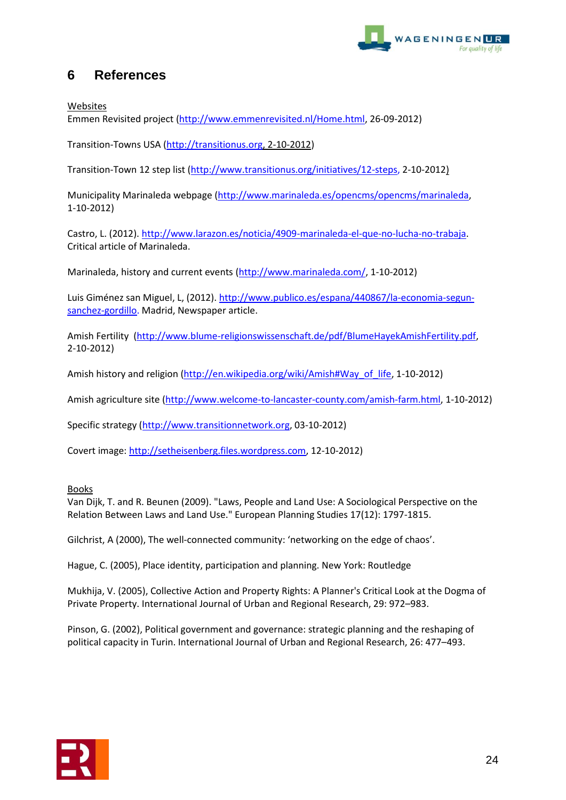

# **6 References**

Websites

Emmen Revisited project [\(http://www.emmenrevisited.nl/Home.html,](http://www.emmenrevisited.nl/Home.html) 26-09-2012)

Transition-Towns USA [\(http://transitionus.org,](http://transitionus.org/) 2-10-2012)

Transition-Town 12 step list [\(http://www.transitionus.org/initiatives/12-steps,](http://www.transitionus.org/initiatives/12-steps) 2-10-2012)

Municipality Marinaleda webpage [\(http://www.marinaleda.es/opencms/opencms/marinaleda,](http://www.marinaleda.es/opencms/opencms/marinaleda) 1-10-2012)

Castro, L. (2012). [http://www.larazon.es/noticia/4909-marinaleda-el-que-no-lucha-no-trabaja.](http://www.larazon.es/noticia/4909-marinaleda-el-que-no-lucha-no-trabaja) Critical article of Marinaleda.

Marinaleda, history and current events [\(http://www.marinaleda.com/,](http://www.marinaleda.com/) 1-10-2012)

Luis Giménez san Miguel, L, (2012)[. http://www.publico.es/espana/440867/la-economia-segun](http://www.publico.es/espana/440867/la-economia-segun-sanchez-gordillo)[sanchez-gordillo.](http://www.publico.es/espana/440867/la-economia-segun-sanchez-gordillo) Madrid, Newspaper article.

Amish Fertility [\(http://www.blume-religionswissenschaft.de/pdf/BlumeHayekAmishFertility.pdf,](http://www.blume-religionswissenschaft.de/pdf/BlumeHayekAmishFertility.pdf) 2-10-2012)

Amish history and religion [\(http://en.wikipedia.org/wiki/Amish#Way\\_of\\_life,](http://en.wikipedia.org/wiki/Amish#Way_of_life) 1-10-2012)

Amish agriculture site [\(http://www.welcome-to-lancaster-county.com/amish-farm.html,](http://www.welcome-to-lancaster-county.com/amish-farm.html) 1-10-2012)

Specific strategy [\(http://www.transitionnetwork.org,](http://www.transitionnetwork.org/) 03-10-2012)

Covert image[: http://setheisenberg.files.wordpress.com,](http://setheisenberg.files.wordpress.com/) 12-10-2012)

**Books** 

Van Dijk, T. and R. Beunen (2009). "Laws, People and Land Use: A Sociological Perspective on the Relation Between Laws and Land Use." European Planning Studies 17(12): 1797-1815.

Gilchrist, A (2000), The well-connected community: 'networking on the edge of chaos'.

Hague, C. (2005), Place identity, participation and planning. New York: Routledge

Mukhija, V. (2005), Collective Action and Property Rights: A Planner's Critical Look at the Dogma of Private Property. International Journal of Urban and Regional Research, 29: 972–983.

Pinson, G. (2002), Political government and governance: strategic planning and the reshaping of political capacity in Turin. International Journal of Urban and Regional Research, 26: 477–493.

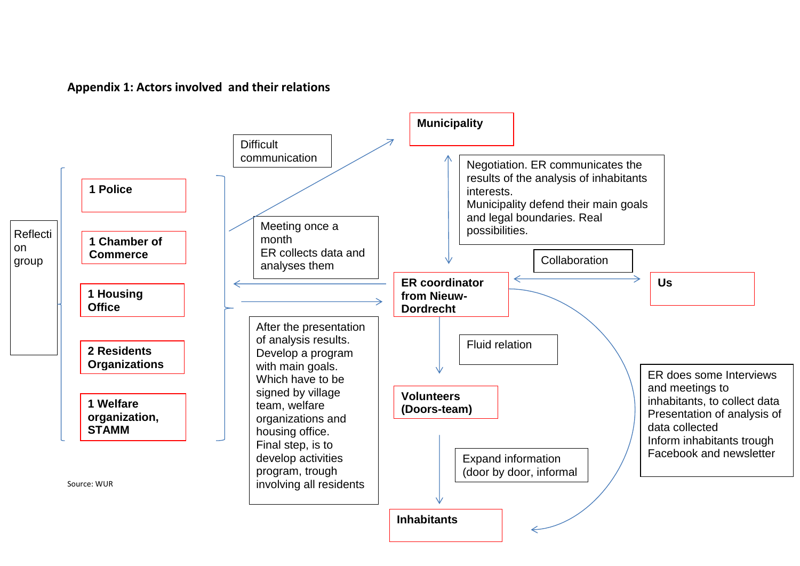

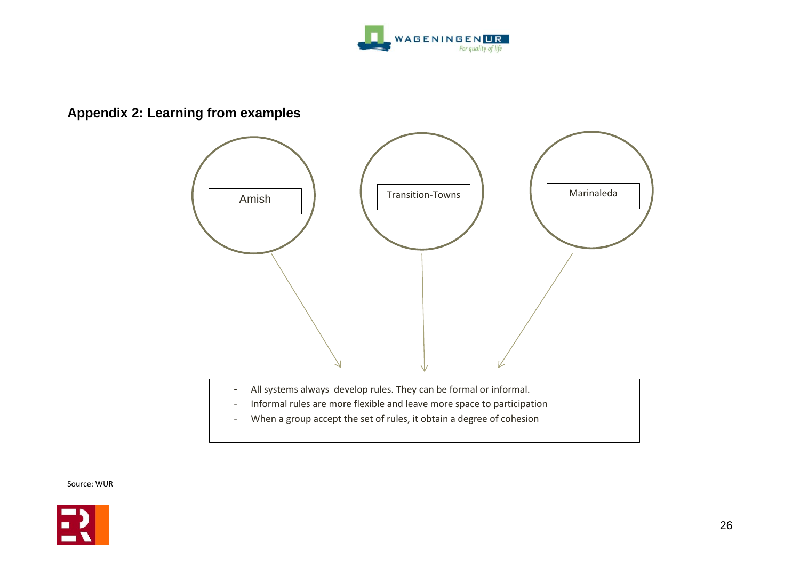

# **Appendix 2: Learning from examples**



- All systems always develop rules. They can be formal or informal.
- Informal rules are more flexible and leave more space to participation
- When a group accept the set of rules, it obtain a degree of cohesion

Source: WUR